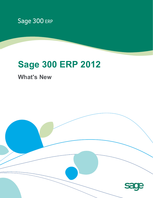

# **Sage 300 ERP 2012**

**What's New**

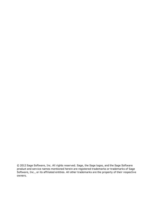© 2012 Sage Software, Inc. All rights reserved. Sage, the Sage logos, and the Sage Software product and service names mentioned herein are registered trademarks or trademarks of Sage Software, Inc., or its affiliated entities. All other trademarks are the property of their respective owners.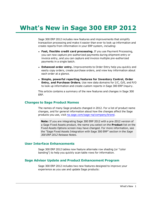# **What's New in Sage 300 ERP 2012**

Sage 300 ERP 2012 includes new features and improvements that simplify transaction processing and make it easier than ever to look up information and create reports from information in your ERP system, including:

- <sup>l</sup> **Fast, flexible credit card processing.** If you use Payment Processing, you can now capture pre-authorized payments during shipment entry or invoice entry, and you can capture and invoice multiple pre-authorized payments in a single batch.
- **Enhanced order entry.** Improvements to Order Entry help you quickly and easily copy orders, create purchase orders, and view key information about each order at a glance.
- <sup>l</sup> **Simple, powerful reporting features for Inventory Control, Order Entry, and Purchase Orders.** Use new data domains for I/C, O/E, and P/O to look up information and create custom reports in Sage 300 ERP Inquiry.

This article contains a summary of the new features and changes in Sage 300 ERP.

#### **Changes to Sage Product Names**

The names of many Sage products changed in 2012. For a list of product name changes, and for general information about how the changes affect the Sage products you use, visit [na.sage.com/sage-na/company/brand](http://na.sage.com/sage-na/company/brand).

**Note:** If you are integrating Sage 300 ERP 2012 with a pre-2012 version of a Sage Fixed Assets product, the name you select on the **Product** list on the Fixed Assets Options screen may have changed. For more information, see the "Sage Fixed Assets Integration with Sage 300 ERP" section in the *Sage 300 ERP 2012 Release Notes*.

#### **User Interface Enhancements**

Sage 300 ERP 2012 tables now feature alternate row shading (or "color banding") to help you quickly scan table rows for information.

#### **Sage Advisor Update and Product Enhancement Program**

Sage 300 ERP 2012 includes two new features designed to improve your experience as you use and update Sage products: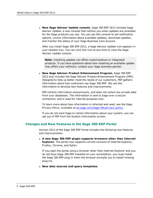<sup>l</sup> **New Sage Advisor Update console.** Sage 300 ERP 2012 includes Sage Advisor Update, a new console that notifies you when updates are available for the Sage products you use. You can use this console to set notification options, review information about available updates, download updates, and monitor the status of your Sage Business Care account.

After you install Sage 300 ERP 2012, a Sage Advisor Update icon appears in your taskbar tray. You can click this icon at any time to view the Sage Advisor Update console.

**Note:** Installing updates can affect customizations or integrated products. If you have questions about how installing an available update may affect your software, contact your Sage business partner.

<sup>l</sup> **New Sage Advisor Product Enhancement Program.** Sage 300 ERP 2012 also includes the Sage Advisor Product Enhancement Program (PEP). Designed to help us better meet the needs of our customers, PEP gathers information about how customers use Sage 300 ERP. We use this information to develop new features and improvements.

PEP collects information anonymously, and does not collect any private data from your databases. The information is sent to Sage over a secure connection, and is used for internal purposes only.

To learn more about how information is collected and used, see the Sage Privacy Policy, available at [na.sage.com/Sage-NA/privacy-policy](http://na.sage.com/Sage-NA/privacy-policy).

If you do not want Sage to collect information about your system, you can opt out of PEP from the System Information screen.

#### **Changes and New Features in the Sage 300 ERP Portal**

Version 2012 of the Sage 300 ERP Portal includes the following new features and improvements:

<sup>l</sup> **A new Sage 300 ERP plugin supports browsers other than Internet Explorer.** The portal now supports current versions of Internet Explorer, Firefox, Chrome, and Safari.

If you open the portal using a browser other than Internet Explorer and you do not have Sage 300 ERP installed on your workstation, you must install the Sage 300 ERP plug-in when the browser prompts you to install missing plug-ins.

<sup>l</sup> **New data sources and query templates.**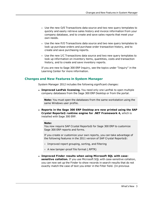- Use the new O/E Transactions data source and two new query templates to quickly and easily retrieve sales history and invoice information from your company database, and to create and save sales reports that meet your own needs.
- Use the new P/O Transactions data source and two new query templates to look up purchase orders and purchase order transaction history, and to create and save purchasing reports.
- Use the new I/C Transactions data source and two new query templates to look up information on inventory items, quantities, costs and transaction history, and to create and save inventory reports.

If you are new to Sage 300 ERP Inquiry, see the topics under "Inquiry" in the Learning Center for more information.

# **Changes and New Features in System Manager**

System Manager 2012 includes the following significant changes:

**Improved LanPak licensing.** You need only one LanPak to open multiple company databases from the Sage 300 ERP Desktop or from the portal.

**Note:** You must open the databases from the same workstation using the same Windows user profile.

<sup>l</sup> **Reports in the Sage 300 ERP Desktop are now printed using the SAP Crystal Reports® runtime engine for .NET Framework 4,** which is installed with Sage 300 ERP.

#### **Note:**

You now require SAP Crystal Reports® for Sage 300 ERP to customize Sage 300 ERP reports and forms.

If you create or customize your own reports, you can take advantage of the following features in the 2011 version of SAP Crystal Reports®:

- Improved report grouping, sorting, and filtering
- A new tamper-proof file format (.RPTR)
- <sup>l</sup> **Improved Finder results when using Microsoft SQL with casesensitive collation.** If you use Microsoft SQL with case-sensitive collation, you can now set up the Finder to show records in search results that do not exactly match the case of text you enter in the Filter field. (In previous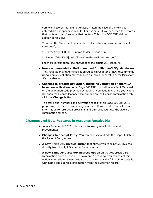versions, records that did not exactly match the case of the text you entered did not appear in results. For example, if you searched for records that contain "client," records that contain "Client" or "CLIENT" did not appear in results.)

To set up the Finder so that search results include all case variations of text you specify:

- a. In the Sage 300 ERP Runtime folder, edit a4w.ini.
- b. Under [A4WSQLS], add "ForceCaseInsensitiveLike=yes".

For more information, see Knowledgebase article 201-1000971.

- <sup>l</sup> **New recommended collation method for Microsoft SQL databases.** The Installation and Administration Guide (in Chapter 3) now recommends using a binary collation method, such as Latin1\_general\_bin, for Microsoft SQL databases.
- <sup>l</sup> **Changes to product activation, including validation of client ID based on activation code.** Sage 300 ERP now validates client ID based on the activation code provided by Sage. If you need to change your client ID, open the License Manager screen, and on the License Information tab, click the **Change** button.

To enter serial numbers and activation codes for all Sage 300 ERP 2012 programs, use the License Manager screen. If you need to enter license information for pre-2012 programs and OEM products, use the License Information screen.

#### **Changes and New Features in Accounts Receivable**

Accounts Receivable 2012 includes the following new features and improvements:

- **Changes to Receipt Entry.** You can now see and edit the Deposit Date on the Receipt Entry screen.
- <sup>l</sup> **A new Print O/E Invoice button** that allows you to print O/E invoices directly from the A/R Document Inquiry screen.
- <sup>l</sup> **A new Same As Customer Address option** on the A/R Credit Card Information screen. If you use Payment Processing, you can select this option when adding a new credit card to automatically fill in billing details with name and address information from the customer record.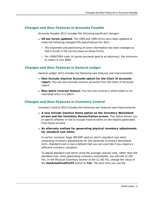# **Changes and New Features in Accounts Payable**

Accounts Payable 2012 includes the following significant changes:

- **US tax forms updated.** The 1099 and 1096 forms have been updated to meet the following changed IRS specifications for 2011:
	- The alignment and positioning of some information has been changed so that it prints in the correct place on these forms.
	- For 1099/CPRS code 14 (gross proceeds paid to an attorney), the minimum to report is now \$600.

#### **Changes and New Features in General Ledger**

General Ledger 2012 includes the following new features and improvements:

- <sup>l</sup> **New Exclude Inactive Accounts option for the Chart of Accounts report.** You can now exclude inactive accounts from the Chart of Accounts report.
- **. New batch reversal feature.** You can now reverse a whole batch or an individual entry in a batch.

# **Changes and New Features in Inventory Control**

Inventory Control 2012 includes the following new features and improvements:

- <sup>l</sup> **A new Include Inactive Items option on the Inventory Worksheet screen and the Inventory Reconciliation screen.** This option allows you to specify whether or not to include inactive items on the reports generated from those screens.
- <sup>l</sup> **An alternate method for generating physical inventory adjustments for standard cost items.**

In earlier versions, Sage 300 ERP used an item's standard cost when computing inventory adjustments for the Generate Inventory Worksheet form. Standard cost is now a default that you can override if you require a different inventory valuation.

To adjust standard cost items using the average (actual) cost, rather than the standard cost, when generating inventory worksheets, you edit the IC.INI file. In the Physical Inventory section of the IC.INI file, change the value of the **UseActualCostForPI** switch to **Yes**. The next time you use the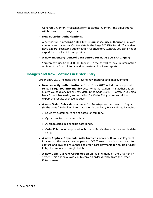Generate Inventory Worksheet form to adjust inventory, the adjustments will be based on average cost.

#### <sup>l</sup> **New security authorizations.**

A new portal-related **Sage 300 ERP Inquiry** security authorization allows you to query Inventory Control data in the Sage 300 ERP Portal. If you also have Export Processing authorization for Inventory Control, you can print or export the results of these queries.

<sup>l</sup> **A new Inventory Control data source for Sage 300 ERP Inquiry.**

You can now use Sage 300 ERP Inquiry (in the portal) to look up information on Inventory Control items and to create ad hoc item reports.

#### **Changes and New Features in Order Entry**

Order Entry 2012 includes the following new features and improvements:

- **New security authorizations.** Order Entry 2012 includes a new portalrelated **Sage 300 ERP Inquiry** security authorization. This authorization allows you to query Order Entry data in the Sage 300 ERP Portal. If you also have Export Processing authorization for Order Entry, you can print or export the results of these queries.
- <sup>l</sup> **A new Order Entry data source for Inquiry.** You can now use Inquiry (in the portal) to look up information on Order Entry transactions, including:
	- Sales by customer, range of dates, or territory.
	- **Cycle time for customer orders.**
	- Average sales in a specific date range.
	- Order Entry invoices posted to Accounts Receivable within a specific date range.
- <sup>l</sup> **A new Capture Payments With Invoices screen.** If you use Payment Processing, this new screen appears in O/E Transactions. You can use it to capture and invoice pre-authorized credit card payments for multiple Order Entry documents in a single batch.
- <sup>l</sup> **A new Copy Current Order option** on the File menu on the Order Entry screen. This option allows you to copy an order directly from the Order Entry screen.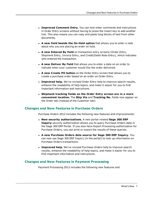- **Improved Comment Entry.** You can now enter comments and instructions in Order Entry screens without having to press the Insert key to add another line. This also means you can copy and paste long blocks of text from other documents.
- <sup>l</sup> **A new field beside the On Hold option** that allows you to enter a note about why you are placing an order on hold.
- **A** new Entered By field on transaction entry screens (Order Entry, Shipment Entry, Invoice Entry, and Credit/Debit Note Entry), which indicates who entered the transaction.
- **A** new Deliver By field that allows you to enter a date on an order to indicate when your customer would like the order delivered.
- <sup>l</sup> **A new Create PO button** on the Order Entry screen that allows you to create a purchase order based on an order on Order Entry.
- **Improved help.** We've revised Order Entry help to improve search results, enhance the readability of help topics, and make it easier for you to find important information and instructions.
- <sup>l</sup> **Shipment tracking fields on the Order Entry screen are in a more convenient location.** The **Ship Via** and **Tracking No.** fields now appear on the Order tab (instead of the Customer tab).

# **Changes and New Features in Purchase Orders**

Purchase Orders 2012 includes the following new features and improvements:

- <sup>l</sup> **New security authorizations.** A new portal-related **Sage 300 ERP Inquiry** security authorization allows you to query Purchase Orders data in the Sage 300 ERP Portal. If you also have Export Processing authorization for Purchase Orders, you can print or export the results of these queries.
- <sup>l</sup> **A new Purchase Orders data source for Sage 300 ERP Inquiry.** You can now use Sage 300 ERP Inquiry (in the portal) to look up information on Purchase Orders transactions.
- **Improved help.** We've revised Purchase Orders help to improve search results, enhance the readability of help topics, and make it easier for you to find important information and instructions.

# **Changes and New Features in Payment Processing**

Payment Processing 2012 includes the following new features and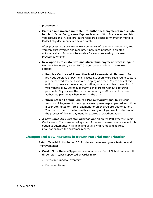improvements:

<sup>l</sup> **Capture and invoice multiple pre-authorized payments in a single batch.** In Order Entry, a new Capture Payments With Invoices screen lets you capture and invoice pre-authorized credit card payments for multiple Order Entry documents in a single batch.

After processing, you can review a summary of payments processed, and you can print invoices and receipts. A new receipt batch is created automatically in Accounts Receivable for each processing code used to process payments.

- <sup>l</sup> **New options to customize and streamline payment processing.** In Payment Processing, a new PMT Options screen includes the following options:
	- **Require Capture of Pre-authorized Payments at Shipment.** In previous versions of Payment Processing, users were required to capture pre-authorized payments before shipping an order. You can select this option to preserve the existing workflow, or you can clear the option if you want to allow warehouse staff to ship orders without capturing payments. If you clear the option, accounting staff can capture preauthorized payments when invoicing the order.
	- **Warn Before Forcing Expired Pre-authorizations.** In previous versions of Payment Processing, a warning message appeared each time a user attempted to "force" payment for an expired pre-authorization. You can use this option to turn this warning off if you want to streamline the process of forcing payment for expired pre-authorizations.
- <sup>l</sup> **A new Same As Customer Address option** on the PMT Process Credit Card screen. If you are entering a card for one-time use, you can select this option to automatically fill in billing details with name and address information from the customer record.

#### **Changes and New Features in Return Material Authorization**

Return Material Authorization 2012 includes the following new features and improvements:

- **Credit Note Return Type.** You can now create Credit Note details for all three return types supported by Order Entry:
	- Items Returned to Inventory
	- Damaged Items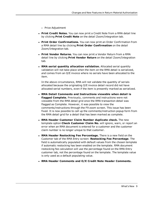- **Price Adjustment**
- <sup>l</sup> **Print Credit Notes.** You can now print a Credit Note from a RMA detail line by clicking **Print Credit Note** on the detail Zoom/Integration tab.
- **Print Order Confirmations.** You can now print an Order Confirmation from a RMA detail line by clicking **Print Order Confirmation** on the detail Zoom/Integration tab.
- <sup>l</sup> **Print Vendor Returns.** You can now print a Vendor Return from a RMA detail line by clicking **Print Vendor Return** on the detail Zoom/Integration tab.
- <sup>l</sup> **RMA serial quantity allocation validation.** Allocated serial quantity validation will not take place when the item on the RMA detail is serialized, *and* comes from an O/E invoice where no serials have been allocated to the item.

In the above circumstance, RMA will not validate the quantity of serials allocated because the originating O/E invoice detail record did not have allocated serial numbers, even if the item is presently marked as serialized.

- <sup>l</sup> **RMA Detail Comments and Instructions viewable when detail is flagged Complete.** Previously, comments and instructions were not viewable from the RMA detail grid once the RMA transaction detail was flagged as Complete. However, it was possible to view the comments/instructions through the F9 zoom screen. This issue has been fixed. It is now possible to call up the comments/instruction popup form from the RMA detail grid for a detail that has been marked as complete.
- <sup>l</sup> **RMA Header Customer Claim Number duplicate check.** The new template option **Check Customer Claim No.** will ignore, warn, or report an error when an RMA document is entered for a customer and the customer claim number is no longer unique to that customer.
- <sup>l</sup> **RMA Header Restocking Fee Percentage.** There is a new field on the Customer tab of the RMA Entry screen: **Restocking Fee Percentage**. The field is automatically populated with default values from the chosen template if automatic restocking has been enabled on the template. RMA document restocking fee calculation will use the percentage found on the RMA Entry customer tab, not the percentage found on the template. The template value is only used as a default populating value.
- <sup>l</sup> **RMA Header Comments and O/E Credit Note Header Comments.**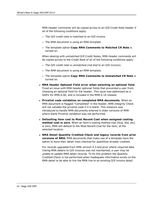RMA Header comments will be copied across to an O/E Credit Note header if all of the following conditions apply:

- The O/E credit note is matched to an O/E invoice.
- The RMA document is using an RMA template.
- The template option **Copy RMA Comments to Matched CR Note** is turned on.

When dealing with unmatched O/E Credit Notes, RMA Header comments will be copied across to the Credit Note of all of the following conditions apply:

- The O/E credit note is unmatched (not tied to an O/E invoice).
- The RMA document is using an RMA template.
- The template option **Copy RMA Comments to Unmatched CR Note** is turned on.
- <sup>l</sup> **RMA Header Optional Field error when selecting an optional field.** Fixed an issue with RMA header optional fields that prevented a user from choosing an optional field for the header. This issue was addressed as a hotfix for RMA 6.0A, and is included in the RMA 6.1A release.
- <sup>l</sup> **Pricelist code validation on completed RMA documents.** When an RMA document is flagged "Completed" in the header, RMA Integrity Check will not validate the pricelist code if it is blank. This measure was introduced to handle RMA documents entered in older versions of RMA where blank Pricelist validation was not performed.
- <sup>l</sup> **Defaulting item cost to Most Recent Cost when assigned costing method cost is zero.** When an item's costing method cost (Avg, Std, etc) is zero, RMA will default to the Most Recent Cost for the item, at the selected location.
- <sup>l</sup> **RMA Detail Quantity Credited Check and legacy records from prior versions of RMA.** RMA documents that make use of a template have the option to have their detail lines checked for quantities already credited.

For records upgraded from RMA version 5.3 and prior where required data linking RMA details to O/E invoices was not maintained, a user may be unable to update RMA detail records. To fix this problem the Quantity Credited Check is not performed when inadequate information exists on the RMA detail to be able to link the RMA line to an existing O/E invoice detail.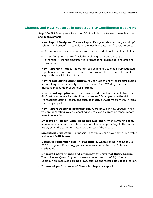### **Changes and New Features in Sage 300 ERP Intelligence Reporting**

Sage 300 ERP Intelligence Reporting 2012 includes the following new features and improvements:

- **New Report Designer.** The new Report Designer lets you "drag and drop" columns and predefined calculations to easily create new financial reports.
	- A new Formula Builder enables you to create additional calculated fields.
	- A new "What If Analyzer" includes a sliding scale you can use to dynamically change amounts while forecasting, budgeting, and creating projections.
- **New Reporting Trees.** Reporting trees enable you to model sophisticated reporting structures so you can view your organization in many different ways with the click of a button.
- <sup>l</sup> **New report distribution feature.** You can use the new report distribution feature to quickly and easily send reports to a file, FTP site, or e-mail message in a number of standard formats.
- **. New reporting options.** You can now exclude inactive accounts from the GL Chart of Accounts Reports, filter by range of fiscal years on the G/L Transactions Listing Report, and exclude inactive I/C items from I/C Physical Inventory reports.
- **New Report Designer progress bar.** A progress bar now appears when you are generating layouts, enabling you to view progress or cancel report layout generation.
- <sup>l</sup> **Improved "Refresh Data" in Report Designer.** When refreshing data, all new accounts are placed into the correct account groupings in the correct order, using the same formatting as the rest of the report.
- <sup>l</sup> **Simplified Drill Down.** In financial reports, you can now right-click a value and select **Drill Down**.
- <sup>l</sup> **Option to remember sign-in credentials.** When signing in to Sage 300 ERP Intelligence Reporting, you can now save your User and Database credentials.
- <sup>l</sup> **Improved performance and efficiency of Universal Query Engine.** The Universal Query Engine now uses a newer version of SQL Compact Edition, with improved parsing of SQL queries and faster data cache creation.
- <sup>l</sup> **Improved performance of Financial Reports report.**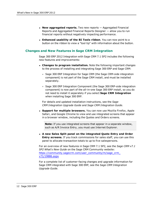- <sup>l</sup> **New aggregated reports.** Two new reports Aggregated Financial Reports and Aggregated Financial Reports Designer — allow you to run financial reports without negatively impacting performance.
- <sup>l</sup> **Enhanced usability of the BI Tools ribbon**. You can now point to a button on the ribbon to view a "tool tip" with information about the button.

#### **Changes and New Features in Sage CRM Integration**

Sage 300 ERP 2012 Integration with Sage CRM 7.1 SP2 includes the following new features and improvements:

- <sup>l</sup> **Changes to program installation.** Note the following important changes to the process of installing and integrating Sage 300 ERP and Sage CRM:
	- Sage 300 ERP Integration for Sage CRM (the Sage CRM-side integration component) is not part of the Sage CRM install, and must be installed separately.
	- Sage 300 ERP Integration Component (the Sage 300 ERP-side integration component) is now part of the all-in-one Sage 300 ERP install, so you do not need to install it separately if you select **Sage CRM Integration** when installing Sage 300 ERP.

For details and updated installation instructions, see the *Sage CRM Integration Upgrade Guide* and *Sage CRM Integration Guide*.

<sup>l</sup> **Support for multiple browsers.** You can now use Mozilla Firefox, Apple Safari, and Google Chrome to view and use integrated screens that appear in a browser window, including the Quotes and Orders screens.

**Note:** If you use integrated screens that appear in a separate window, such as A/R Invoice Entry, you must use Internet Explorer.

<sup>l</sup> **A new Sales Split panel on the integrated Quote Entry and Order Entry screens.** If you track commissions for sales staff, you can use this panel to allocate transaction totals to up to five salespersons.

For an overview of new features in Sage CRM 7.1 SP2, see the *Sage CRM v7.1 SP2 What's New Guide* on the Sage CRM Community website: [https://community.sagecrm.com/user\\_community/m/sage\\_crm\\_](https://community.sagecrm.com/user_community/m/sage_crm_v71/19886.aspx) [v71/19886.aspx](https://community.sagecrm.com/user_community/m/sage_crm_v71/19886.aspx)

For a complete list of customer-facing changes and upgrade information for Sage CRM integrated with Sage 300 ERP, see the *Sage CRM Integration Upgrade Guide*.